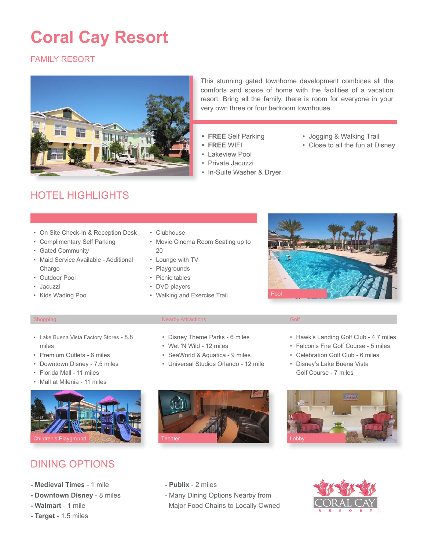# **Coral Cay Resort**

### FAMILY RESORT



This stunning gated townhome development combines all the comforts and space of home with the facilities of a vacation resort. Bring all the family, there is room for everyone in your very own three or four bedroom townhouse.

- **• FREE** Self Parking
- **• FREE** WIFI
- **Lakeview Pool**
- • Private Jacuzzi
- • In-Suite Washer & Dryer
- • Jogging & Walking Trail
- • Close to all the fun at Disney

## HOTEL HIGHLIGHTS

- • On Site Check-In & Reception Desk
- • Complimentary Self Parking
- • Gated Community
- • Maid Service Available Additional Charge
- • Outdoor Pool
- **Jacuzzi**
- • Kids Wading Pool
- • Clubhouse
- • Movie Cinema Room Seating up to 20
- • Lounge with TV
- • Playgrounds
- • Picnic tables
- • DVD players
- • Walking and Exercise Trail



#### Shopping Nearby Attractions Golf Attractions Golf Attractions Golf Attractions Golf Attractions Golf Attractions

- • Lake Buena Vista Factory Stores 8.8 miles
- • Premium Outlets 6 miles
- • Downtown Disney 7.5 miles
- • Florida Mall 11 miles
- • Mall at Milenia 11 miles



### DINING OPTIONS

- **Medieval Times** 1 mile
- **Downtown Disney** 8 miles
- **Walmart**  1 mile
- **Target**  1.5 miles
- • Disney Theme Parks 6 miles
- • Wet 'N Wild 12 miles
- • SeaWorld & Aquatica 9 miles
- • Universal Studios Orlando 12 mile



- • Hawk's Landing Golf Club 4.7 miles • Falcon's Fire Golf Course - 5 miles
- • Celebration Golf Club 6 miles
- • Disney's Lake Buena Vista Golf Course - 7 miles



### **- Publix** - 2 miles

- Many Dining Options Nearby from Major Food Chains to Locally Owned



- 
- 
- -
	- -